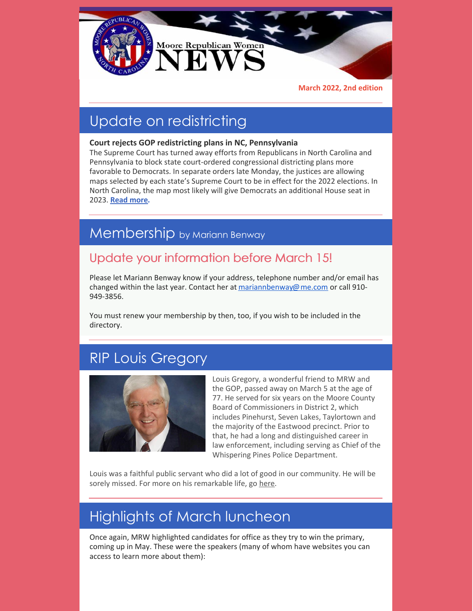

**March 2022, 2nd edition**

# Update on redistricting

#### **Court rejects GOP redistricting plans in NC, Pennsylvania**

The Supreme Court has turned away efforts from Republicans in North Carolina and Pennsylvania to block state court-ordered congressional districting plans more favorable to Democrats. In separate orders late Monday, the justices are allowing maps selected by each state's Supreme Court to be in effect for the 2022 elections. In North Carolina, the map most likely will give Democrats an additional House seat in 2023. **[Read](https://apnews.com/article/2022-midterm-elections-pennsylvania-north-carolina-elections-redistricting-c5b603afa8e492a7dd8925aafe8c527a) more.**

#### Membership by Mariann Benway

#### Update your information before March 15!

Please let Mariann Benway know if your address, telephone number and/or email has changed within the last year. Contact her at [mariannbenway@me.com](mailto:mariannbenway@me.com) or call 910-949-3856.

You must renew your membership by then, too, if you wish to be included in the directory.

## RIP Louis Gregory



Louis Gregory, a wonderful friend to MRW and the GOP, passed away on March 5 at the age of 77. He served for six years on the Moore County Board of Commissioners in District 2, which includes Pinehurst, Seven Lakes, Taylortown and the majority of the Eastwood precinct. Prior to that, he had a long and distinguished career in law enforcement, including serving as Chief of the Whispering Pines Police Department.

Louis was a faithful public servant who did a lot of good in our community. He will be sorely missed. For more on his remarkable life, go [here](https://www.thepilot.com/news/developing-louis-gregory-former-county-commissioner-and-law-enforcer-is-dead/article_1b928e6e-9dc4-11ec-bbb7-675238bbf266.html).

# Highlights of March luncheon

Once again, MRW highlighted candidates for office as they try to win the primary, coming up in May. These were the speakers (many of whom have websites you can access to learn more about them):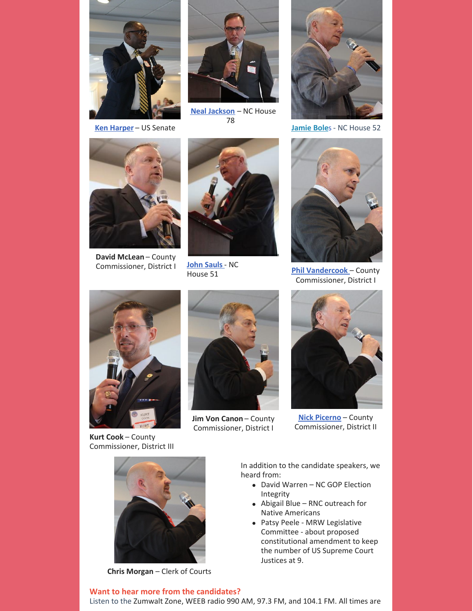

**Ken [Harper](https://www.ncvoteharper.com)** – US Senate



**Neal [Jackson](https://www.nealjackson4nc.org)** – NC House 78



**[Jamie](https://www.jamiebolesnc.com) Bole**s - NC House 52



**David McLean** – County Commissioner, District I



**John [Sauls](https://www.nchouserepublicans.com/members/john-sauls/)**- NC House 51



**Phil [Vandercook](https://www.veteransformoore.com)** – County Commissioner, District I



**Kurt Cook** – County Commissioner, District III



**Jim Von Canon** – County Commissioner, District I



**Nick [Picerno](https://thesevenlakesinsider.com/2022/03/picerno-fills-seven-lakes-commissioner-seat-on-county-board/)** – County Commissioner, District II



**Chris Morgan** – Clerk of Courts

**Want to hear more from the candidates?**

In addition to the candidate speakers, we heard from:

- David Warren NC GOP Election Integrity
- Abigail Blue RNC outreach for Native Americans
- Patsy Peele MRW Legislative Committee - about proposed constitutional amendment to keep the number of US Supreme Court Justices at 9.

Listen to the Zumwalt Zone, WEEB radio 990 AM, 97.3 FM, and 104.1 FM. All times are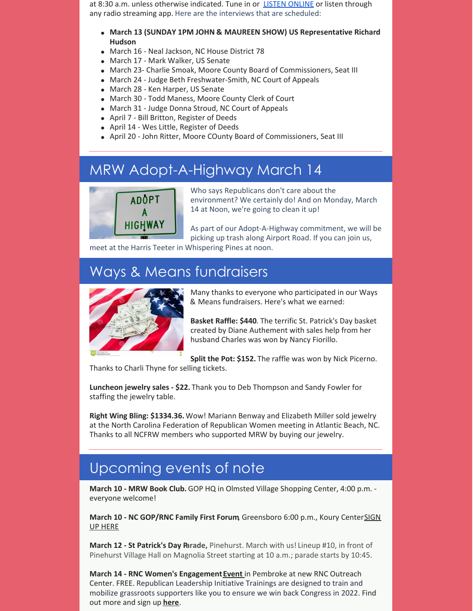at 8:30 a.m. unless otherwise indicated. Tune in or **LISTEN [ONLINE](http://www.weeb990.com)** or listen through any radio streaming app. Here are the interviews that are scheduled:

- **March 13 (SUNDAY 1PM JOHN & MAUREEN SHOW) US Representative Richard Hudson**
- March 16 Neal Jackson, NC House District 78
- March 17 Mark Walker, US Senate
- March 23- Charlie Smoak, Moore County Board of Commissioners, Seat III
- March 24 Judge Beth Freshwater-Smith, NC Court of Appeals
- March 28 Ken Harper, US Senate
- March 30 Todd Maness, Moore County Clerk of Court
- March 31 Judge Donna Stroud, NC Court of Appeals
- April 7 Bill Britton, Register of Deeds
- April 14 Wes Little, Register of Deeds
- April 20 John Ritter, Moore COunty Board of Commissioners, Seat III

## MRW Adopt-A-Highway March 14



Who says Republicans don't care about the environment? We certainly do! And on Monday, March 14 at Noon, we're going to clean it up!

As part of our Adopt-A-Highway commitment, we will be picking up trash along Airport Road. If you can join us,

meet at the Harris Teeter in Whispering Pines at noon.

## Ways & Means fundraisers



Many thanks to everyone who participated in our Ways & Means fundraisers. Here's what we earned:

**Basket Raffle: \$440**. The terrific St. Patrick's Day basket created by Diane Authement with sales help from her husband Charles was won by Nancy Fiorillo.

**Split the Pot: \$152.** The raffle was won by Nick Picerno.

Thanks to Charli Thyne for selling tickets.

**Luncheon jewelry sales - \$22.** Thank you to Deb Thompson and Sandy Fowler for staffing the jewelry table.

**Right Wing Bling: \$1334.36.** Wow! Mariann Benway and Elizabeth Miller sold jewelry at the North Carolina Federation of Republican Women meeting in Atlantic Beach, NC. Thanks to all NCFRW members who supported MRW by buying our jewelry.

## Upcoming events of note

**March 10 - MRW Book Club.** GOP HQ in Olmsted Village Shopping Center, 4:00 p.m. everyone welcome!

**March 10 - NC GOP/RNC Family First Forum**, [Greensboro](https://www.nc.gop/family_first_forum?recruiter_id=5804977) 6:00 p.m., Koury CenterSIGN UP HERE

**March 12 - St Patrick's Day Parade,** Pinehurst. March with us! Lineup #10, in front of Pinehurst Village Hall on Magnolia Street starting at 10 a.m.; parade starts by 10:45.

**March 14 - RNC Women's Engagement[Event](https://gopvictory.com/nc/rli-training-clowery-march14-6pm/?fbclid=IwAR14BefzBpGIpHjcGJC6kfm6zvSYu-AnzhUURdGcEfV8slL5lXPtWqvTvpo)** in Pembroke at new RNC Outreach Center. FREE. Republican Leadership Initiative Trainings are designed to train and mobilize grassroots supporters like you to ensure we win back Congress in 2022. Find out more and sign up **[here](https://gopvictory.com/nc/rli-training-clowery-march14-6pm/?fbclid=IwAR14BefzBpGIpHjcGJC6kfm6zvSYu-AnzhUURdGcEfV8slL5lXPtWqvTvpo)**.